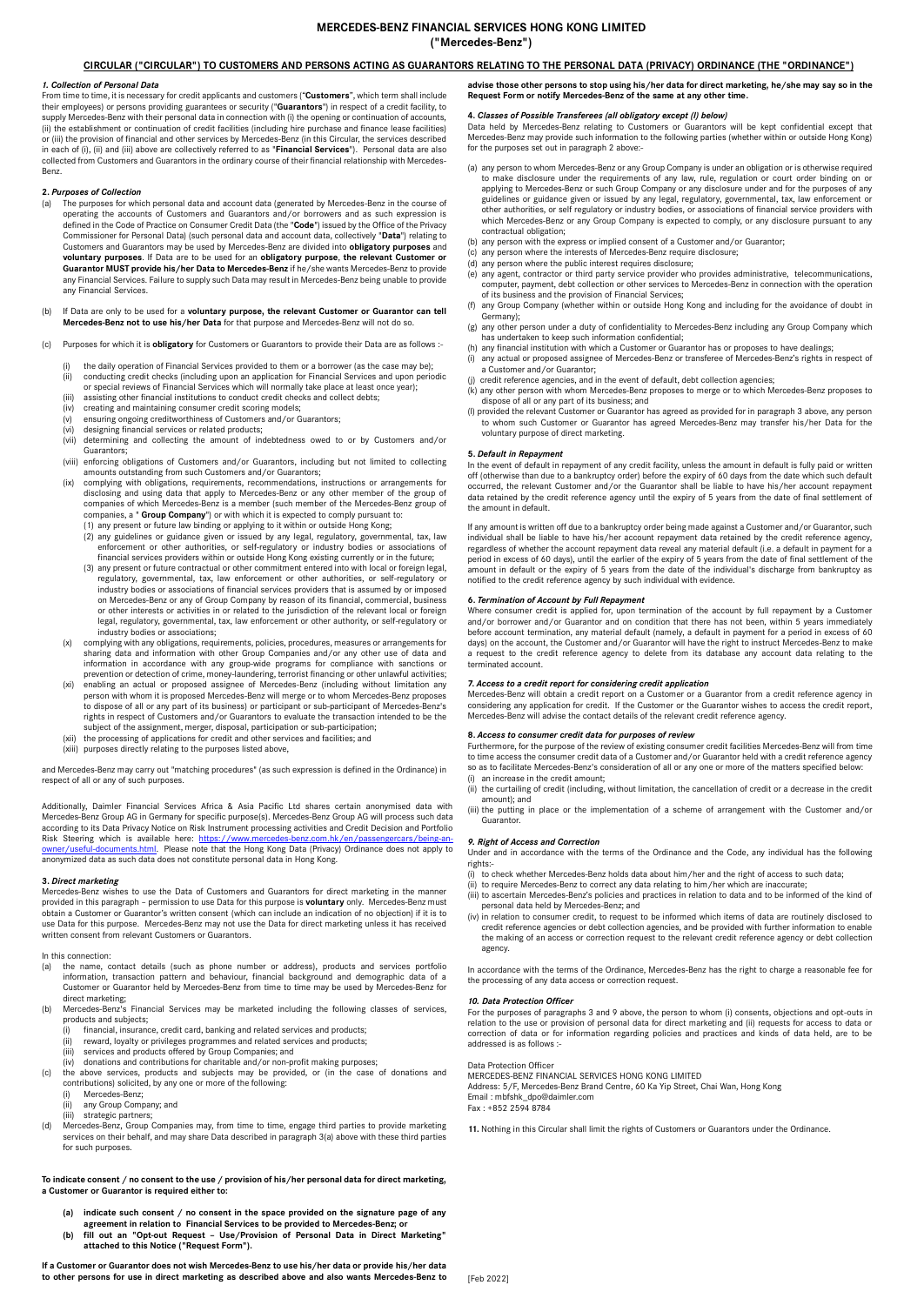## **MERCEDES-BENZ FINANCIAL SERVICES HONG KONG LIMITED ("Mercedes-Benz")**

## **CIRCULAR ("CIRCULAR") TO CUSTOMERS AND PERSONS ACTING AS GUARANTORS RELATING TO THE PERSONAL DATA (PRIVACY) ORDINANCE (THE "ORDINANCE")**

### *1. Collection of Personal Data*

From time to time, it is necessary for credit applicants and customers ("**Customers**", which term shall include their employees) or persons providing guarantees or security ("**Guarantors**") in respect of a credit facility, to<br>supply Mercedes-Benz with their personal data in connection with (i) the opening or continuation of accounts (ii) the establishment or continuation of credit facilities (including hire purchase and finance lease facilities)<br>or (iii) the provision of financial and other services by Mercedes-Benz (in this Circular, the services des collected from Customers and Guarantors in the ordinary course of their financial relationship with Mercedes-<br>collected from Customers and Guarantors in the ordinary course of their financial relationship with Mercedes-Benz.

### **2.** *Purposes of Collection*

- The purposes for which personal data and account data (generated by Mercedes-Benz in the course of operating the accounts of Customers and Guarantors and/or borrowers and as such expression is defined in the Code of Practice on Consumer Credit Data (the "**Code**") issued by the Office of the Privacy Commissioner for Personal Data) (such personal data and account data, collectively "**Data**") relating to Customers and Guarantors may be used by Mercedes-Benz are divided into **obligatory purposes** and **voluntary purposes**. If Data are to be used for an **obligatory purpose**, **the relevant Customer or Guarantor MUST provide his/her Data to Mercedes-Benz** if he/she wants Mercedes-Benz to provide<br>any Financial Services. Failure to supply such Data may result in Mercedes-Benz being unable to provide any Financial Services.
- (b) If Data are only to be used for a **voluntary purpose, the relevant Customer or Guarantor can tell Mercedes-Benz not to use his/her Data** for that purpose and Mercedes-Benz will not do so.
- (c) Purposes for which it is **obligatory** for Customers or Guarantors to provide their Data are as follows :
	- the daily operation of Financial Services provided to them or a borrower (as the case may be);
	- (ii) conducting credit checks (including upon an application for Financial Services and upon periodic or special reviews of Financial Services which will normally take place at least once year);
	-
	- (iii) assisting other financial institutions to conduct credit checks and collect debts;
	- (iv) creating and maintaining consumer credit scoring models; (v) ensuring ongoing creditworthiness of Customers and/or Guarantors;
	- (vi) designing financial services or related products;
	- (vii) determining and collecting the amount of indebtedness owed to or by Customers and/or Guarantors;
	- (viii) enforcing obligations of Customers and/or Guarantors, including but not limited to collecting
	- amounts outstanding from such Customers and/or Guarantors;<br>(ix) complying with obligations, requirements, recommendations, instructions or arrangements for<br>disclosing and using data that apply to Mercedes-Benz or any other companies, a " **Group Company**") or with which it is expected to comply pursuant to:<br>(1) any present or future law binding or applying to it within or outside Hong Kong;<br>(2) any guidelines or guidance given or issued by an
		-
		- enforcement or other authorities, or self-regulatory or industry bodies or associations of financial services providers within or outside Hong Kong existing currently or in the future;
		- (3) any present or future contractual or other commitment entered into with local or foreign legal, regulatory, governmental, tax, law enforcement or other authorities, or self-regulatory or industry bodies or associations of financial services providers that is assumed by or imposed on Mercedes-Benz or any of Group Company by reason of its financial, commercial, business or other interests or activities in or related to the jurisdiction of the relevant local or foreign legal, regulatory, governmental, tax, law enforcement or other authority, or self-regulatory or industry bodies or associations;
	- (x) complying with any obligations, requirements, policies, procedures, measures or arrangements for sharing data and information with other Group Companies and/or any other use of data and information in accordance with any group-wide programs for compliance with sanctions or prevention or detection of crime, money-laundering, terrorist financing or other unlawful activities;
	- (xi) enabling an actual or proposed assignee of Mercedes-Benz (including without limitation any<br>person with whom it is proposed Mercedes-Benz will merge or to whom Mercedes-Benz proposes<br>to dispose of all or any part of it rights in respect of Customers and/or Guarantors to evaluate the transaction intended to be the subject of the assignment, merger, disposal, participation or sub-participation;
	-
	- (xii) the processing of applications for credit and other services and facilities; and (xiii) purposes directly relating to the purposes listed above,

and Mercedes-Benz may carry out "matching procedures" (as such expression is defined in the Ordinance) in respect of all or any of such purposes.

Additionally, Daimler Financial Services Africa & Asia Pacific Ltd shares certain anonymised data with Mercedes-Benz Group AG in Germany for specific purpose(s). Mercedes-Benz Group AG will process such data according to its Data Privacy Notice on Risk Instrument processing activities and Credit Decision and Portfolio Risk Steering which is available here: https://www.mercedes-benz.com.hk/en/passengercars/being-an-<br>[owner/useful-documents.html.](https://www.mercedes-benz.com.hk/en/passengercars/being-an-owner/useful-documents.html) Please note that the Hong Kong Data (Privacy) Ordinance does not apply to anonymized data as such data does not constitute personal data in Hong Kong.

**3.** *Direct marketing* Mercedes-Benz wishes to use the Data of Customers and Guarantors for direct marketing in the manner provided in this paragraph – permission to use Data for this purpose is **voluntary** only. Mercedes-Benz must<br>obtain a Customer or Guarantor's written consent (which can include an indication of no objection) if it is to use Data for this purpose. Mercedes-Benz may not use the Data for direct marketing unless it has received written consent from relevant Customers or Guarantors.

In this connection:<br>(a) the name, of

- the name, contact details (such as phone number or address), products and services portfolio information, transaction pattern and behaviour, financial background and demographic data of a Customer or Guarantor held by Mercedes-Benz from time to time may be used by Mercedes-Benz for
- direct marketing; (b) Mercedes-Benz's Financial Services may be marketed including the following classes of services, products and subjects;<br>(i) financial, insuranc
	- financial, insurance, credit card, banking and related services and products;
	- (ii) reward, loyalty or privileges programmes and related services and products;
	- (iii) services and products offered by Group Companies; and (iv) donations and contributions for charitable and/or non-profit making purposes;
- 
- (c) the above services, products and subjects may be provided, or (in the case of donations and contributions) solicited, by any one or more of the following:
	- (i) Mercedes-Benz;
	- any Group Company; and
- (iii) strategic partners; (d) Mercedes-Benz, Group Companies may, from time to time, engage third parties to provide marketing services on their behalf, and may share Data described in paragraph 3(a) above with these third parties for such purposes.

## **To indicate consent / no consent to the use / provision of his/her personal data for direct marketing, a Customer or Guarantor is required either to:**

- **(a) indicate such consent / no consent in the space provided on the signature page of any**
- **agreement in relation to Financial Services to be provided to Mercedes-Benz; or (b) fill out an "Opt-out Request – Use/Provision of Personal Data in Direct Marketing" attached to this Notice ("Request Form").**

**If a Customer or Guarantor does not wish Mercedes-Benz to use his/her data or provide his/her data to other persons for use in direct marketing as described above and also wants Mercedes-Benz to** 

**advise those other persons to stop using his/her data for direct marketing, he/she may say so in the Request Form or notify Mercedes-Benz of the same at any other time.** 

#### **4.** *Classes of Possible Transferees (all obligatory except (l) below)*

Data held by Mercedes-Benz relating to Customers or Guarantors will be kept confidential except that Mercedes-Benz may provide such information to the following parties (whether within or outside Hong Kong) for the purposes set out in paragraph 2 above:

- (a) any person to whom Mercedes-Benz or any Group Company is under an obligation or is otherwise required to make disclosure under the requirements of any law, rule, regulation or court order binding on or applying to Mercedes-Benz or such Group Company or any disclosure under and for the purposes of any<br>guidelines or guidance given or issued by any legal, regulatory, governmental, tax, law enforcement or<br>other authorities, which Mercedes-Benz or any Group Company is expected to comply, or any disclosure pursuant to any contractual obligation;
- (b) any person with the express or implied consent of a Customer and/or Guarantor; (c) any person where the interests of Mercedes-Benz require disclosure;
- 
- (d) any person where the public interest requires disclosure;
- (e) any agent, contractor or third party service provider who provides administrative, telecommunications, computer, payment, debt collection or other services to Mercedes-Benz in connection with the operation of its business and the provision of Financial Services;
- (f) any Group Company (whether within or outside Hong Kong and including for the avoidance of doubt in Germany);
- (g) any other person under a duty of confidentiality to Mercedes-Benz including any Group Company which has undertaken to keep such information confidential; (h) any financial institution with which a Customer or Guarantor has or proposes to have dealings;
- (i) any actual or proposed assignee of Mercedes-Benz or transferee of Mercedes-Benz's rights in respect of
- a Customer and/or Guarantor; (j) credit reference agencies, and in the event of default, debt collection agencies;<br>(k) any other person with whom Mercedes-Benz proposes to merge or to which Mercedes-Benz proposes to<br>dispose of all or any part of its b
- 
- (l) provided the relevant Customer or Guarantor has agreed as provided for in paragraph 3 above, any person to whom such Customer or Guarantor has agreed Mercedes-Benz may transfer his/her Data for the voluntary purpose of direct marketing.

#### **5.** *Default in Repayment*

In the event of default in repayment of any credit facility, unless the amount in default is fully paid or written off (otherwise than due to a bankruptcy order) before the expiry of 60 days from the date which such default occurred, the relevant Customer and/or the Guarantor shall be liable to have his/her account repayment data retained by the credit reference agency until the expiry of 5 years from the date of final settlement of the amount in default.

If any amount is written off due to a bankruptcy order being made against a Customer and/or Guarantor, such<br>individual shall be liable to have his/her account repayment data retained by the credit reference agency,<br>regardl period in excess of 60 days), until the earlier of the expiry of 5 years from the date of final settlement of the amount in default or the expiry of 5 years from the date of the individual's discharge from bankruptcy as notified to the credit reference agency by such individual with evidence.

## **6.** *Termination of Account by Full Repayment*

Where consumer credit is applied for, upon termination of the account by full repayment by a Customer and/or borrower and/or Guarantor and on condition that there has not been, within 5 years immediately before account termination, any material default (namely, a default in payment for a period in excess of 60<br>days) on the account, the Customer and/or Guarantor will have the right to instruct Mercedes-Benz to make<br>a reques terminated account.

## **7.** *Access to a credit report for considering credit application*

Mercedes-Benz will obtain a credit report on a Customer or a Guarantor from a credit reference agency in considering any application for credit. If the Customer or the Guarantor wishes to access the credit report, Mercedes-Benz will advise the contact details of the relevant credit reference agency.

## **8.** *Access to consumer credit data for purposes of review*

Furthermore, for the purpose of the review of existing consumer credit facilities Mercedes-Benz will from time to time access the consumer credit data of a Customer and/or Guarantor held with a credit reference agency so as to facilitate Mercedes-Benz's consideration of all or any one or more of the matters specified below: (i) an increase in the credit amount;

- (ii) the curtailing of credit (including, without limitation, the cancellation of credit or a decrease in the credit amount); and
- (iii) the putting in place or the implementation of a scheme of arrangement with the Customer and/or Guarantor.

#### *9. Right of Access and Correction*

Under and in accordance with the terms of the Ordinance and the Code, any individual has the following rights:-

- (i) to check whether Mercedes-Benz holds data about him/her and the right of access to such data;
- (ii) to require Mercedes-Benz to correct any data relating to him/her which are inaccurate; (iii) to ascertain Mercedes-Benz's policies and practices in relation to data and to be informed of the kind of
- personal data held by Mercedes-Benz; and
- (iv) in relation to consumer credit, to request to be informed which items of data are routinely disclosed to credit reference agencies or debt collection agencies, and be provided with further information to enable the making of an access or correction request to the relevant credit reference agency or debt collection agency.

In accordance with the terms of the Ordinance, Mercedes-Benz has the right to charge a reasonable fee for the processing of any data access or correction request.

#### *10. Data Protection Officer*

For the purposes of paragraphs 3 and 9 above, the person to whom (i) consents, objections and opt-outs in relation to the use or provision of personal data for direct marketing and (ii) requests for access to data or correction of data or for information regarding policies and practices and kinds of data held, are to be addressed is as follows :-

## Data Protection Officer

MERCEDES-BENZ FINANCIAL SERVICES HONG KONG LIMITED Address: 5/F, Mercedes-Benz Brand Centre, 60 Ka Yip Street, Chai Wan, Hong Kong Email : mbfshk\_dpo@daimler.com

Fax : +852 2594 8784

**11.** Nothing in this Circular shall limit the rights of Customers or Guarantors under the Ordinance.